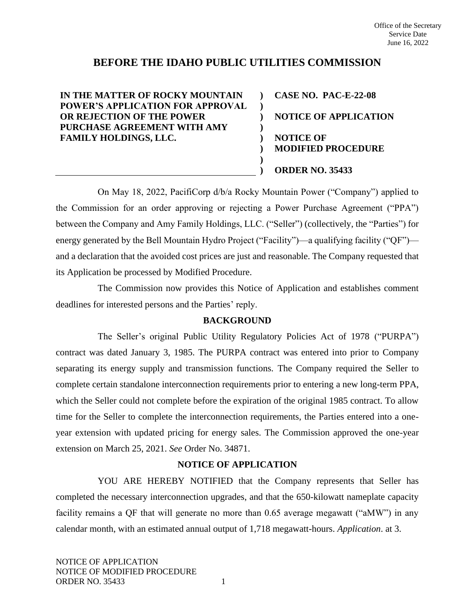# **BEFORE THE IDAHO PUBLIC UTILITIES COMMISSION**

**) ) ) ) ) ) ) )**

**IN THE MATTER OF ROCKY MOUNTAIN POWER'S APPLICATION FOR APPROVAL OR REJECTION OF THE POWER PURCHASE AGREEMENT WITH AMY FAMILY HOLDINGS, LLC.** 

**CASE NO. PAC-E-22-08 NOTICE OF APPLICATION NOTICE OF MODIFIED PROCEDURE ORDER NO. 35433**

On May 18, 2022, PacifiCorp d/b/a Rocky Mountain Power ("Company") applied to the Commission for an order approving or rejecting a Power Purchase Agreement ("PPA") between the Company and Amy Family Holdings, LLC. ("Seller") (collectively, the "Parties") for energy generated by the Bell Mountain Hydro Project ("Facility")—a qualifying facility ("QF") and a declaration that the avoided cost prices are just and reasonable. The Company requested that its Application be processed by Modified Procedure.

The Commission now provides this Notice of Application and establishes comment deadlines for interested persons and the Parties' reply.

## **BACKGROUND**

The Seller's original Public Utility Regulatory Policies Act of 1978 ("PURPA") contract was dated January 3, 1985. The PURPA contract was entered into prior to Company separating its energy supply and transmission functions. The Company required the Seller to complete certain standalone interconnection requirements prior to entering a new long-term PPA, which the Seller could not complete before the expiration of the original 1985 contract. To allow time for the Seller to complete the interconnection requirements, the Parties entered into a oneyear extension with updated pricing for energy sales. The Commission approved the one-year extension on March 25, 2021. *See* Order No. 34871.

## **NOTICE OF APPLICATION**

YOU ARE HEREBY NOTIFIED that the Company represents that Seller has completed the necessary interconnection upgrades, and that the 650-kilowatt nameplate capacity facility remains a QF that will generate no more than 0.65 average megawatt ("aMW") in any calendar month, with an estimated annual output of 1,718 megawatt-hours. *Application*. at 3.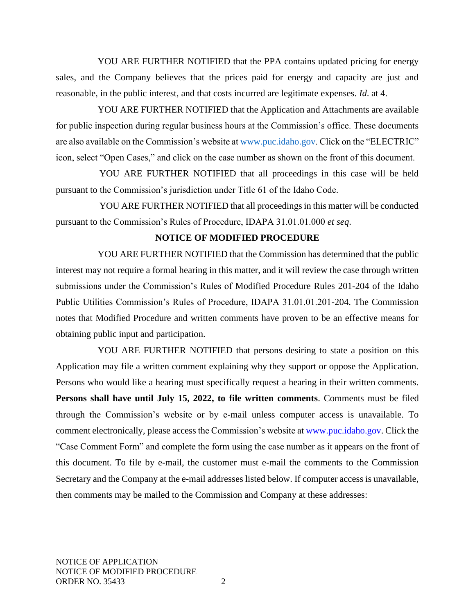YOU ARE FURTHER NOTIFIED that the PPA contains updated pricing for energy sales, and the Company believes that the prices paid for energy and capacity are just and reasonable, in the public interest, and that costs incurred are legitimate expenses. *Id*. at 4.

YOU ARE FURTHER NOTIFIED that the Application and Attachments are available for public inspection during regular business hours at the Commission's office. These documents are also available on the Commission's website at [www.puc.idaho.gov.](http://www.puc.idaho.gov/) Click on the "ELECTRIC" icon, select "Open Cases," and click on the case number as shown on the front of this document.

YOU ARE FURTHER NOTIFIED that all proceedings in this case will be held pursuant to the Commission's jurisdiction under Title 61 of the Idaho Code.

YOU ARE FURTHER NOTIFIED that all proceedings in this matter will be conducted pursuant to the Commission's Rules of Procedure, IDAPA 31.01.01.000 *et seq*.

#### **NOTICE OF MODIFIED PROCEDURE**

YOU ARE FURTHER NOTIFIED that the Commission has determined that the public interest may not require a formal hearing in this matter, and it will review the case through written submissions under the Commission's Rules of Modified Procedure Rules 201-204 of the Idaho Public Utilities Commission's Rules of Procedure, IDAPA 31.01.01.201-204. The Commission notes that Modified Procedure and written comments have proven to be an effective means for obtaining public input and participation.

YOU ARE FURTHER NOTIFIED that persons desiring to state a position on this Application may file a written comment explaining why they support or oppose the Application. Persons who would like a hearing must specifically request a hearing in their written comments. **Persons shall have until July 15, 2022, to file written comments**. Comments must be filed through the Commission's website or by e-mail unless computer access is unavailable. To comment electronically, please access the Commission's website a[t www.puc.idaho.gov.](http://www.puc.idaho.gov/) Click the "Case Comment Form" and complete the form using the case number as it appears on the front of this document. To file by e-mail, the customer must e-mail the comments to the Commission Secretary and the Company at the e-mail addresses listed below. If computer access is unavailable, then comments may be mailed to the Commission and Company at these addresses: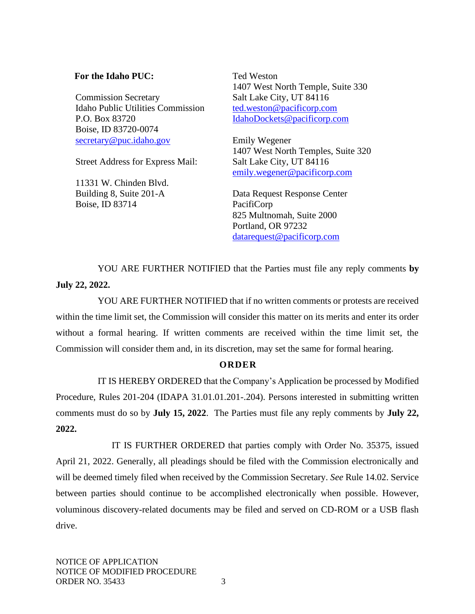## **For the Idaho PUC:**

Commission Secretary Idaho Public Utilities Commission P.O. Box 83720 Boise, ID 83720-0074 [secretary@puc.idaho.gov](mailto:secretary@puc.idaho.gov)

Street Address for Express Mail:

11331 W. Chinden Blvd. Building 8, Suite 201-A Boise, ID 83714

Ted Weston 1407 West North Temple, Suite 330 Salt Lake City, UT 84116 [ted.weston@pacificorp.com](mailto:ted.weston@pacificorp.com) [IdahoDockets@pacificorp.com](mailto:IdahoDockets@pacificorp.com)

Emily Wegener 1407 West North Temples, Suite 320 Salt Lake City, UT 84116 [emily.wegener@pacificorp.com](mailto:emily.wegener@pacificorp.com)

Data Request Response Center PacifiCorp 825 Multnomah, Suite 2000 Portland, OR 97232 [datarequest@pacificorp.com](mailto:datarequest@pacificorp.com)

YOU ARE FURTHER NOTIFIED that the Parties must file any reply comments **by July 22, 2022.**

YOU ARE FURTHER NOTIFIED that if no written comments or protests are received within the time limit set, the Commission will consider this matter on its merits and enter its order without a formal hearing. If written comments are received within the time limit set, the Commission will consider them and, in its discretion, may set the same for formal hearing.

## **O R D E R**

IT IS HEREBY ORDERED that the Company's Application be processed by Modified Procedure, Rules 201-204 (IDAPA 31.01.01.201-.204). Persons interested in submitting written comments must do so by **July 15, 2022**. The Parties must file any reply comments by **July 22, 2022.**

IT IS FURTHER ORDERED that parties comply with Order No. 35375, issued April 21, 2022. Generally, all pleadings should be filed with the Commission electronically and will be deemed timely filed when received by the Commission Secretary. *See* Rule 14.02. Service between parties should continue to be accomplished electronically when possible. However, voluminous discovery-related documents may be filed and served on CD-ROM or a USB flash drive.